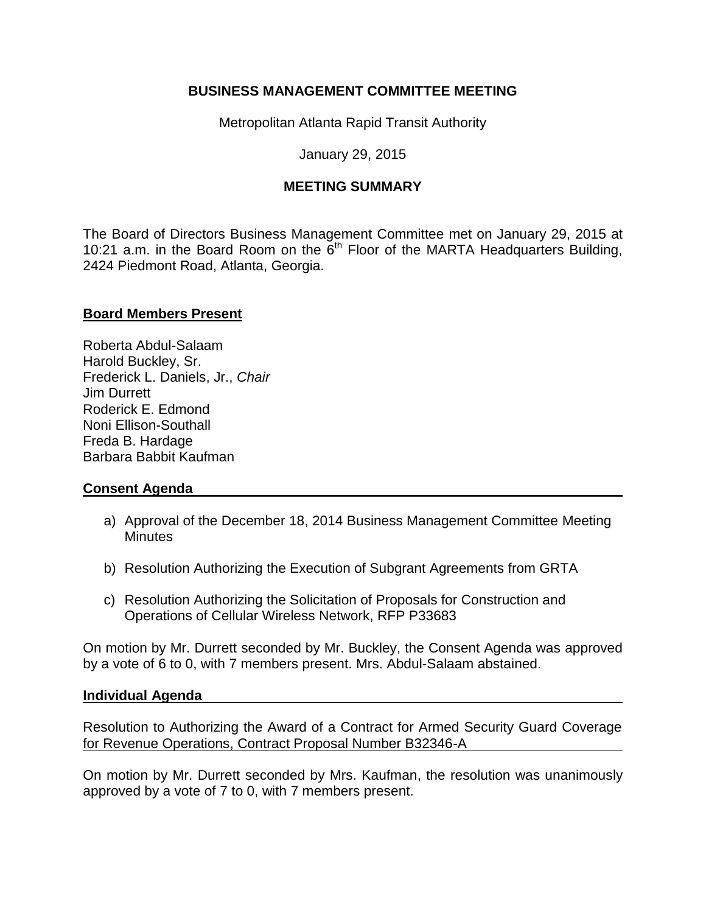## **BUSINESS MANAGEMENT COMMITTEE MEETING**

Metropolitan Atlanta Rapid Transit Authority

January 29, 2015

# **MEETING SUMMARY**

The Board of Directors Business Management Committee met on January 29, 2015 at 10:21 a.m. in the Board Room on the  $\ddot{6}$ <sup>th</sup> Floor of the MARTA Headquarters Building, 2424 Piedmont Road, Atlanta, Georgia.

## **Board Members Present**

Roberta Abdul-Salaam Harold Buckley, Sr. Frederick L. Daniels, Jr., *Chair*  Jim Durrett Roderick E. Edmond Noni Ellison-Southall Freda B. Hardage Barbara Babbit Kaufman

## **Consent Agenda**

- a) Approval of the December 18, 2014 Business Management Committee Meeting **Minutes**
- b) Resolution Authorizing the Execution of Subgrant Agreements from GRTA
- c) Resolution Authorizing the Solicitation of Proposals for Construction and Operations of Cellular Wireless Network, RFP P33683

On motion by Mr. Durrett seconded by Mr. Buckley, the Consent Agenda was approved by a vote of 6 to 0, with 7 members present. Mrs. Abdul-Salaam abstained.

#### **Individual Agenda**

Resolution to Authorizing the Award of a Contract for Armed Security Guard Coverage for Revenue Operations, Contract Proposal Number B32346-A

On motion by Mr. Durrett seconded by Mrs. Kaufman, the resolution was unanimously approved by a vote of 7 to 0, with 7 members present.